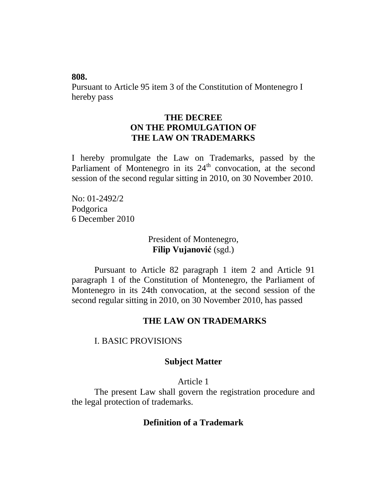**808.**

Pursuant to Article 95 item 3 of the Constitution of Montenegro I hereby pass

# **THE DECREE ON THE PROMULGATION OF THE LAW ON TRADEMARKS**

I hereby promulgate the Law on Trademarks, passed by the Parliament of Montenegro in its  $24<sup>th</sup>$  convocation, at the second session of the second regular sitting in 2010, on 30 November 2010.

No: 01-2492/2 Podgorica 6 December 2010

## President of Montenegro, **Filip Vujanović** (sgd.)

Pursuant to Article 82 paragraph 1 item 2 and Article 91 paragraph 1 of the Constitution of Montenegro, the Parliament of Montenegro in its 24th convocation, at the second session of the second regular sitting in 2010, on 30 November 2010, has passed

# **THE LAW ON TRADEMARKS**

## I. BASIC PROVISIONS

## **Subject Matter**

## Article 1

The present Law shall govern the registration procedure and the legal protection of trademarks.

## **Definition of a Trademark**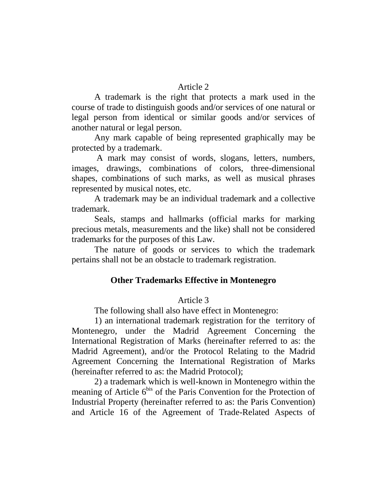### Article 2

A trademark is the right that protects a mark used in the course of trade to distinguish goods and/or services of one natural or legal person from identical or similar goods and/or services of another natural or legal person.

Any mark capable of being represented graphically may be protected by a trademark.

A mark may consist of words, slogans, letters, numbers, images, drawings, combinations of colors, three-dimensional shapes, combinations of such marks, as well as musical phrases represented by musical notes, etc.

A trademark may be an individual trademark and a collective trademark.

Seals, stamps and hallmarks (official marks for marking precious metals, measurements and the like) shall not be considered trademarks for the purposes of this Law.

The nature of goods or services to which the trademark pertains shall not be an obstacle to trademark registration.

# **Other Trademarks Effective in Montenegro**

# Article 3

The following shall also have effect in Montenegro:

1) an international trademark registration for the territory of Montenegro, under the Madrid Agreement Concerning the International Registration of Marks (hereinafter referred to as: the Madrid Agreement), and/or the Protocol Relating to the Madrid Agreement Concerning the International Registration of Marks (hereinafter referred to as: the Madrid Protocol);

2) a trademark which is well-known in Montenegro within the meaning of Article  $6<sup>bis</sup>$  of the Paris Convention for the Protection of Industrial Property (hereinafter referred to as: the Paris Convention) and Article 16 of the Agreement of Trade-Related Aspects of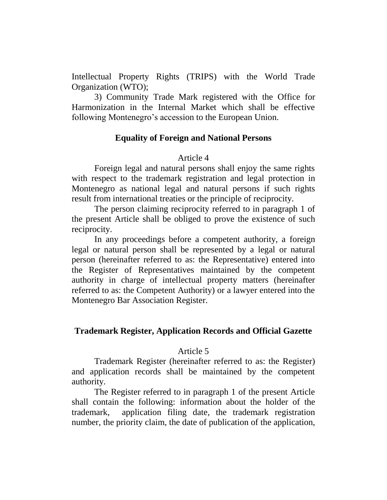Intellectual Property Rights (TRIPS) with the World Trade Organization (WTO);

3) Community Trade Mark registered with the Office for Harmonization in the Internal Market which shall be effective following Montenegro's accession to the European Union.

## **Equality of Foreign and National Persons**

### Article 4

Foreign legal and natural persons shall enjoy the same rights with respect to the trademark registration and legal protection in Montenegro as national legal and natural persons if such rights result from international treaties or the principle of reciprocity.

The person claiming reciprocity referred to in paragraph 1 of the present Article shall be obliged to prove the existence of such reciprocity.

In any proceedings before a competent authority, a foreign legal or natural person shall be represented by a legal or natural person (hereinafter referred to as: the Representative) entered into the Register of Representatives maintained by the competent authority in charge of intellectual property matters (hereinafter referred to as: the Competent Authority) or a lawyer entered into the Montenegro Bar Association Register.

## **Trademark Register, Application Records and Official Gazette**

### Article 5

Trademark Register (hereinafter referred to as: the Register) and application records shall be maintained by the competent authority.

The Register referred to in paragraph 1 of the present Article shall contain the following: information about the holder of the trademark, application filing date, the trademark registration number, the priority claim, the date of publication of the application,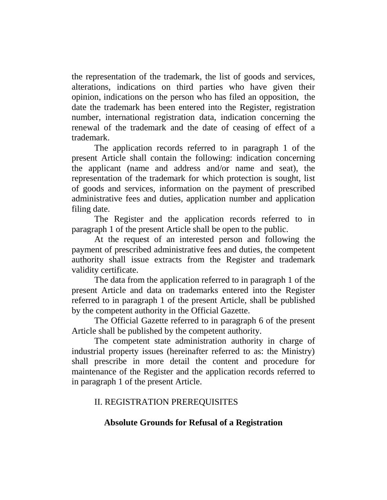the representation of the trademark, the list of goods and services, alterations, indications on third parties who have given their opinion, indications on the person who has filed an opposition, the date the trademark has been entered into the Register, registration number, international registration data, indication concerning the renewal of the trademark and the date of ceasing of effect of a trademark.

The application records referred to in paragraph 1 of the present Article shall contain the following: indication concerning the applicant (name and address and/or name and seat), the representation of the trademark for which protection is sought, list of goods and services, information on the payment of prescribed administrative fees and duties, application number and application filing date.

The Register and the application records referred to in paragraph 1 of the present Article shall be open to the public.

At the request of an interested person and following the payment of prescribed administrative fees and duties, the competent authority shall issue extracts from the Register and trademark validity certificate.

The data from the application referred to in paragraph 1 of the present Article and data on trademarks entered into the Register referred to in paragraph 1 of the present Article, shall be published by the competent authority in the Official Gazette.

The Official Gazette referred to in paragraph 6 of the present Article shall be published by the competent authority.

The competent state administration authority in charge of industrial property issues (hereinafter referred to as: the Ministry) shall prescribe in more detail the content and procedure for maintenance of the Register and the application records referred to in paragraph 1 of the present Article.

# II. REGISTRATION PREREQUISITES

# **Absolute Grounds for Refusal of a Registration**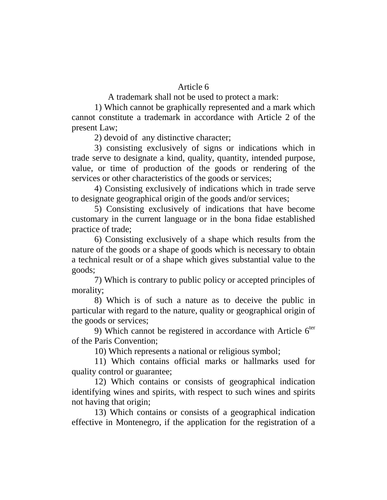## Article 6

A trademark shall not be used to protect a mark:

1) Which cannot be graphically represented and a mark which cannot constitute a trademark in accordance with Article 2 of the present Law;

2) devoid of any distinctive character;

3) consisting exclusively of signs or indications which in trade serve to designate a kind, quality, quantity, intended purpose, value, or time of production of the goods or rendering of the services or other characteristics of the goods or services;

4) Consisting exclusively of indications which in trade serve to designate geographical origin of the goods and/or services;

5) Consisting exclusively of indications that have become customary in the current language or in the bona fidae established practice of trade;

6) Consisting exclusively of a shape which results from the nature of the goods or a shape of goods which is necessary to obtain a technical result or of a shape which gives substantial value to the goods;

7) Which is contrary to public policy or accepted principles of morality;

8) Which is of such a nature as to deceive the public in particular with regard to the nature, quality or geographical origin of the goods or services;

9) Which cannot be registered in accordance with Article  $6<sup>ter</sup>$ of the Paris Convention;

10) Which represents a national or religious symbol;

11) Which contains official marks or hallmarks used for quality control or guarantee;

12) Which contains or consists of geographical indication identifying wines and spirits, with respect to such wines and spirits not having that origin;

13) Which contains or consists of a geographical indication effective in Montenegro, if the application for the registration of a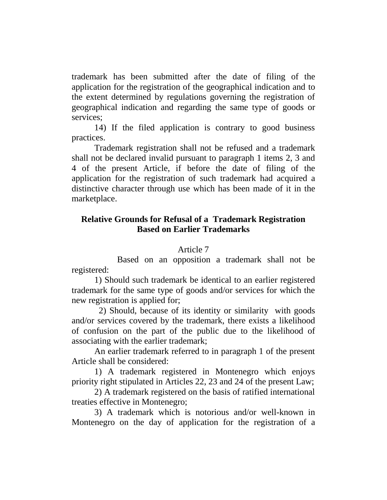trademark has been submitted after the date of filing of the application for the registration of the geographical indication and to the extent determined by regulations governing the registration of geographical indication and regarding the same type of goods or services;

14) If the filed application is contrary to good business practices.

Trademark registration shall not be refused and a trademark shall not be declared invalid pursuant to paragraph 1 items 2, 3 and 4 of the present Article, if before the date of filing of the application for the registration of such trademark had acquired a distinctive character through use which has been made of it in the marketplace.

# **Relative Grounds for Refusal of a Trademark Registration Based on Earlier Trademarks**

## Article 7

Based on an opposition a trademark shall not be registered:

1) Should such trademark be identical to an earlier registered trademark for the same type of goods and/or services for which the new registration is applied for;

2) Should, because of its identity or similarity with goods and/or services covered by the trademark, there exists a likelihood of confusion on the part of the public due to the likelihood of associating with the earlier trademark;

An earlier trademark referred to in paragraph 1 of the present Article shall be considered:

1) A trademark registered in Montenegro which enjoys priority right stipulated in Articles 22, 23 and 24 of the present Law;

2) A trademark registered on the basis of ratified international treaties effective in Montenegro;

3) A trademark which is notorious and/or well-known in Montenegro on the day of application for the registration of a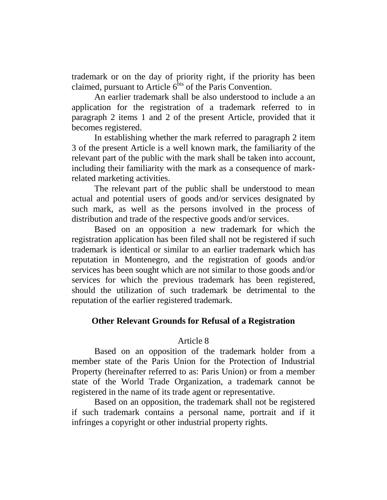trademark or on the day of priority right, if the priority has been claimed, pursuant to Article  $6^{\overline{b}$ is of the Paris Convention.

An earlier trademark shall be also understood to include a an application for the registration of a trademark referred to in paragraph 2 items 1 and 2 of the present Article, provided that it becomes registered.

In establishing whether the mark referred to paragraph 2 item 3 of the present Article is a well known mark, the familiarity of the relevant part of the public with the mark shall be taken into account, including their familiarity with the mark as a consequence of markrelated marketing activities.

The relevant part of the public shall be understood to mean actual and potential users of goods and/or services designated by such mark, as well as the persons involved in the process of distribution and trade of the respective goods and/or services.

Based on an opposition a new trademark for which the registration application has been filed shall not be registered if such trademark is identical or similar to an earlier trademark which has reputation in Montenegro, and the registration of goods and/or services has been sought which are not similar to those goods and/or services for which the previous trademark has been registered, should the utilization of such trademark be detrimental to the reputation of the earlier registered trademark.

## **Other Relevant Grounds for Refusal of a Registration**

## Article 8

Based on an opposition of the trademark holder from a member state of the Paris Union for the Protection of Industrial Property (hereinafter referred to as: Paris Union) or from a member state of the World Trade Organization, a trademark cannot be registered in the name of its trade agent or representative.

Based on an opposition, the trademark shall not be registered if such trademark contains a personal name, portrait and if it infringes a copyright or other industrial property rights.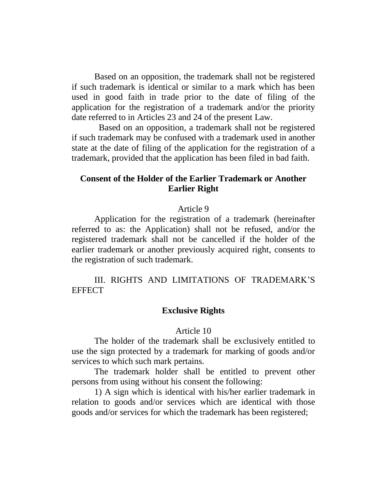Based on an opposition, the trademark shall not be registered if such trademark is identical or similar to a mark which has been used in good faith in trade prior to the date of filing of the application for the registration of a trademark and/or the priority date referred to in Articles 23 and 24 of the present Law.

 Based on an opposition, a trademark shall not be registered if such trademark may be confused with a trademark used in another state at the date of filing of the application for the registration of a trademark, provided that the application has been filed in bad faith.

# **Consent of the Holder of the Earlier Trademark or Another Earlier Right**

#### Article 9

Application for the registration of a trademark (hereinafter referred to as: the Application) shall not be refused, and/or the registered trademark shall not be cancelled if the holder of the earlier trademark or another previously acquired right, consents to the registration of such trademark.

III. RIGHTS AND LIMITATIONS OF TRADEMARK'S **EFFECT** 

### **Exclusive Rights**

#### Article 10

The holder of the trademark shall be exclusively entitled to use the sign protected by a trademark for marking of goods and/or services to which such mark pertains.

The trademark holder shall be entitled to prevent other persons from using without his consent the following:

1) A sign which is identical with his/her earlier trademark in relation to goods and/or services which are identical with those goods and/or services for which the trademark has been registered;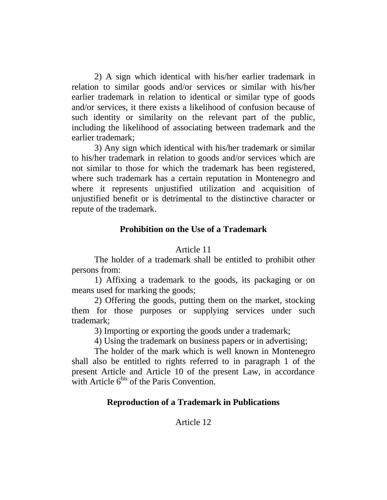2) A sign which identical with his/her earlier trademark in relation to similar goods and/or services or similar with his/her earlier trademark in relation to identical or similar type of goods and/or services, it there exists a likelihood of confusion because of such identity or similarity on the relevant part of the public, including the likelihood of associating between trademark and the earlier trademark;

3) Any sign which identical with his/her trademark or similar to his/her trademark in relation to goods and/or services which are not similar to those for which the trademark has been registered, where such trademark has a certain reputation in Montenegro and where it represents unjustified utilization and acquisition of unjustified benefit or is detrimental to the distinctive character or repute of the trademark.

# **Prohibition on the Use of a Trademark**

## Article 11

The holder of a trademark shall be entitled to prohibit other persons from:

1) Affixing a trademark to the goods, its packaging or on means used for marking the goods;

2) Offering the goods, putting them on the market, stocking them for those purposes or supplying services under such trademark;

3) Importing or exporting the goods under a trademark;

4) Using the trademark on business papers or in advertising;

The holder of the mark which is well known in Montenegro shall also be entitled to rights referred to in paragraph 1 of the present Article and Article 10 of the present Law, in accordance with Article  $6^{bis}$  of the Paris Convention.

# **Reproduction of a Trademark in Publications**

# Article 12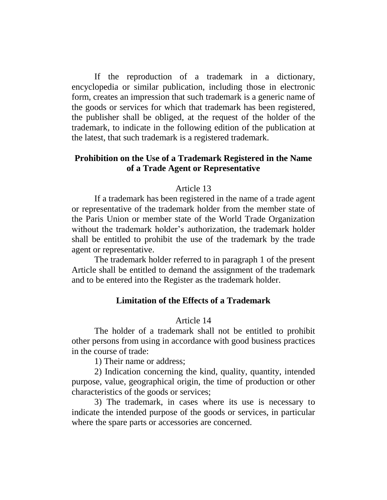If the reproduction of a trademark in a dictionary, encyclopedia or similar publication, including those in electronic form, creates an impression that such trademark is a generic name of the goods or services for which that trademark has been registered, the publisher shall be obliged, at the request of the holder of the trademark, to indicate in the following edition of the publication at the latest, that such trademark is a registered trademark.

## **Prohibition on the Use of a Trademark Registered in the Name of a Trade Agent or Representative**

### Article 13

If a trademark has been registered in the name of a trade agent or representative of the trademark holder from the member state of the Paris Union or member state of the World Trade Organization without the trademark holder's authorization, the trademark holder shall be entitled to prohibit the use of the trademark by the trade agent or representative.

The trademark holder referred to in paragraph 1 of the present Article shall be entitled to demand the assignment of the trademark and to be entered into the Register as the trademark holder.

## **Limitation of the Effects of a Trademark**

### Article 14

The holder of a trademark shall not be entitled to prohibit other persons from using in accordance with good business practices in the course of trade:

1) Their name or address;

2) Indication concerning the kind, quality, quantity, intended purpose, value, geographical origin, the time of production or other characteristics of the goods or services;

3) The trademark, in cases where its use is necessary to indicate the intended purpose of the goods or services, in particular where the spare parts or accessories are concerned.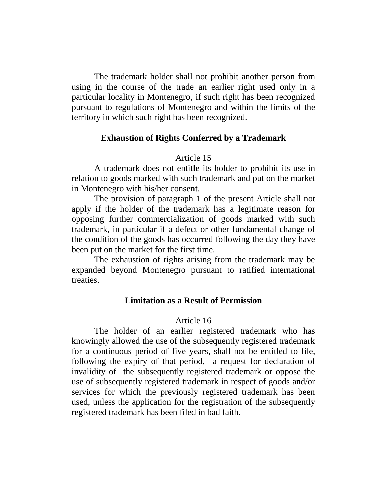The trademark holder shall not prohibit another person from using in the course of the trade an earlier right used only in a particular locality in Montenegro, if such right has been recognized pursuant to regulations of Montenegro and within the limits of the territory in which such right has been recognized.

## **Exhaustion of Rights Conferred by a Trademark**

### Article 15

A trademark does not entitle its holder to prohibit its use in relation to goods marked with such trademark and put on the market in Montenegro with his/her consent.

The provision of paragraph 1 of the present Article shall not apply if the holder of the trademark has a legitimate reason for opposing further commercialization of goods marked with such trademark, in particular if a defect or other fundamental change of the condition of the goods has occurred following the day they have been put on the market for the first time.

The exhaustion of rights arising from the trademark may be expanded beyond Montenegro pursuant to ratified international treaties.

### **Limitation as a Result of Permission**

### Article 16

The holder of an earlier registered trademark who has knowingly allowed the use of the subsequently registered trademark for a continuous period of five years, shall not be entitled to file, following the expiry of that period, a request for declaration of invalidity of the subsequently registered trademark or oppose the use of subsequently registered trademark in respect of goods and/or services for which the previously registered trademark has been used, unless the application for the registration of the subsequently registered trademark has been filed in bad faith.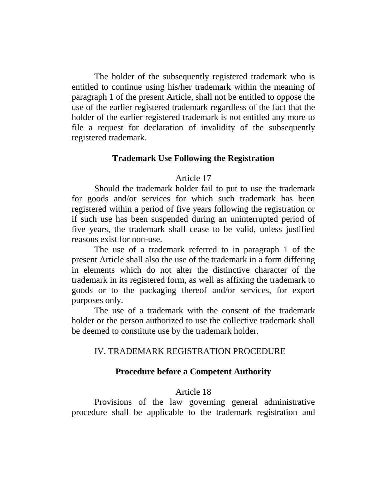The holder of the subsequently registered trademark who is entitled to continue using his/her trademark within the meaning of paragraph 1 of the present Article, shall not be entitled to oppose the use of the earlier registered trademark regardless of the fact that the holder of the earlier registered trademark is not entitled any more to file a request for declaration of invalidity of the subsequently registered trademark.

### **Trademark Use Following the Registration**

## Article 17

Should the trademark holder fail to put to use the trademark for goods and/or services for which such trademark has been registered within a period of five years following the registration or if such use has been suspended during an uninterrupted period of five years, the trademark shall cease to be valid, unless justified reasons exist for non-use.

The use of a trademark referred to in paragraph 1 of the present Article shall also the use of the trademark in a form differing in elements which do not alter the distinctive character of the trademark in its registered form, as well as affixing the trademark to goods or to the packaging thereof and/or services, for export purposes only.

The use of a trademark with the consent of the trademark holder or the person authorized to use the collective trademark shall be deemed to constitute use by the trademark holder.

## IV. TRADEMARK REGISTRATION PROCEDURE

### **Procedure before a Competent Authority**

### Article 18

Provisions of the law governing general administrative procedure shall be applicable to the trademark registration and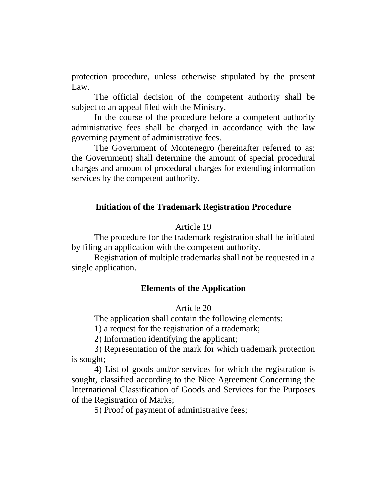protection procedure, unless otherwise stipulated by the present Law.

The official decision of the competent authority shall be subject to an appeal filed with the Ministry.

In the course of the procedure before a competent authority administrative fees shall be charged in accordance with the law governing payment of administrative fees.

The Government of Montenegro (hereinafter referred to as: the Government) shall determine the amount of special procedural charges and amount of procedural charges for extending information services by the competent authority.

#### **Initiation of the Trademark Registration Procedure**

### Article 19

The procedure for the trademark registration shall be initiated by filing an application with the competent authority.

Registration of multiple trademarks shall not be requested in a single application.

### **Elements of the Application**

## Article 20

The application shall contain the following elements:

1) a request for the registration of a trademark;

2) Information identifying the applicant;

3) Representation of the mark for which trademark protection is sought;

4) List of goods and/or services for which the registration is sought, classified according to the Nice Agreement Concerning the International Classification of Goods and Services for the Purposes of the Registration of Marks;

5) Proof of payment of administrative fees;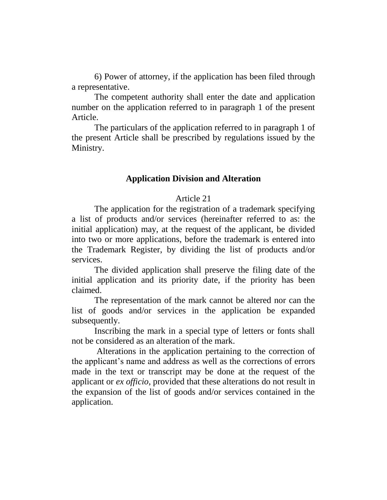6) Power of attorney, if the application has been filed through a representative.

The competent authority shall enter the date and application number on the application referred to in paragraph 1 of the present Article.

The particulars of the application referred to in paragraph 1 of the present Article shall be prescribed by regulations issued by the Ministry.

## **Application Division and Alteration**

## Article 21

The application for the registration of a trademark specifying a list of products and/or services (hereinafter referred to as: the initial application) may, at the request of the applicant, be divided into two or more applications, before the trademark is entered into the Trademark Register, by dividing the list of products and/or services.

The divided application shall preserve the filing date of the initial application and its priority date, if the priority has been claimed.

The representation of the mark cannot be altered nor can the list of goods and/or services in the application be expanded subsequently.

Inscribing the mark in a special type of letters or fonts shall not be considered as an alteration of the mark.

Alterations in the application pertaining to the correction of the applicant's name and address as well as the corrections of errors made in the text or transcript may be done at the request of the applicant or *ex officio*, provided that these alterations do not result in the expansion of the list of goods and/or services contained in the application.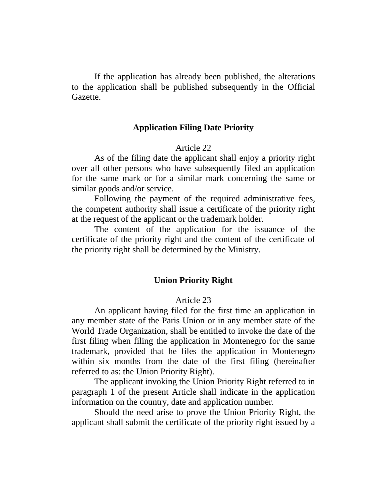If the application has already been published, the alterations to the application shall be published subsequently in the Official Gazette.

## **Application Filing Date Priority**

#### Article 22

As of the filing date the applicant shall enjoy a priority right over all other persons who have subsequently filed an application for the same mark or for a similar mark concerning the same or similar goods and/or service.

Following the payment of the required administrative fees, the competent authority shall issue a certificate of the priority right at the request of the applicant or the trademark holder.

The content of the application for the issuance of the certificate of the priority right and the content of the certificate of the priority right shall be determined by the Ministry.

#### **Union Priority Right**

## Article 23

An applicant having filed for the first time an application in any member state of the Paris Union or in any member state of the World Trade Organization, shall be entitled to invoke the date of the first filing when filing the application in Montenegro for the same trademark, provided that he files the application in Montenegro within six months from the date of the first filing (hereinafter referred to as: the Union Priority Right).

The applicant invoking the Union Priority Right referred to in paragraph 1 of the present Article shall indicate in the application information on the country, date and application number.

Should the need arise to prove the Union Priority Right, the applicant shall submit the certificate of the priority right issued by a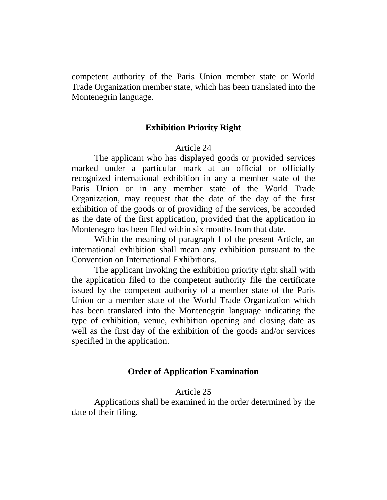competent authority of the Paris Union member state or World Trade Organization member state, which has been translated into the Montenegrin language.

## **Exhibition Priority Right**

### Article 24

The applicant who has displayed goods or provided services marked under a particular mark at an official or officially recognized international exhibition in any a member state of the Paris Union or in any member state of the World Trade Organization, may request that the date of the day of the first exhibition of the goods or of providing of the services, be accorded as the date of the first application, provided that the application in Montenegro has been filed within six months from that date.

Within the meaning of paragraph 1 of the present Article, an international exhibition shall mean any exhibition pursuant to the Convention on International Exhibitions.

The applicant invoking the exhibition priority right shall with the application filed to the competent authority file the certificate issued by the competent authority of a member state of the Paris Union or a member state of the World Trade Organization which has been translated into the Montenegrin language indicating the type of exhibition, venue, exhibition opening and closing date as well as the first day of the exhibition of the goods and/or services specified in the application.

### **Order of Application Examination**

#### Article 25

Applications shall be examined in the order determined by the date of their filing.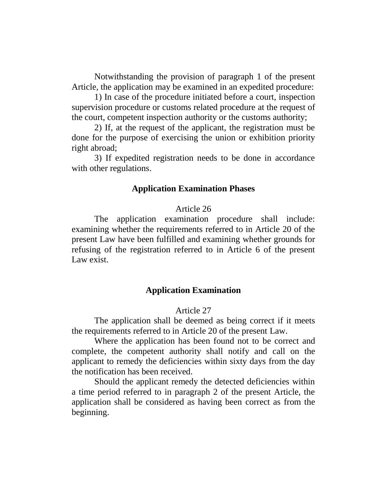Notwithstanding the provision of paragraph 1 of the present Article, the application may be examined in an expedited procedure:

1) In case of the procedure initiated before a court, inspection supervision procedure or customs related procedure at the request of the court, competent inspection authority or the customs authority;

2) If, at the request of the applicant, the registration must be done for the purpose of exercising the union or exhibition priority right abroad;

3) If expedited registration needs to be done in accordance with other regulations.

#### **Application Examination Phases**

#### Article 26

The application examination procedure shall include: examining whether the requirements referred to in Article 20 of the present Law have been fulfilled and examining whether grounds for refusing of the registration referred to in Article 6 of the present Law exist.

## **Application Examination**

### Article 27

The application shall be deemed as being correct if it meets the requirements referred to in Article 20 of the present Law.

Where the application has been found not to be correct and complete, the competent authority shall notify and call on the applicant to remedy the deficiencies within sixty days from the day the notification has been received.

Should the applicant remedy the detected deficiencies within a time period referred to in paragraph 2 of the present Article, the application shall be considered as having been correct as from the beginning.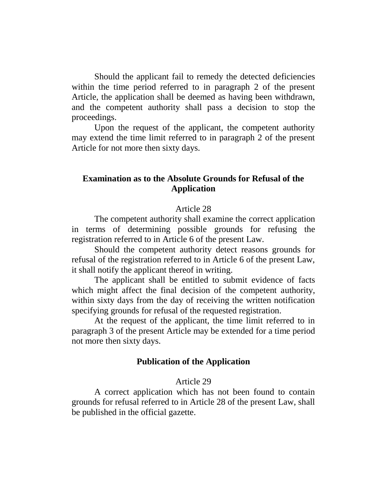Should the applicant fail to remedy the detected deficiencies within the time period referred to in paragraph 2 of the present Article, the application shall be deemed as having been withdrawn, and the competent authority shall pass a decision to stop the proceedings.

Upon the request of the applicant, the competent authority may extend the time limit referred to in paragraph 2 of the present Article for not more then sixty days.

# **Examination as to the Absolute Grounds for Refusal of the Application**

## Article 28

The competent authority shall examine the correct application in terms of determining possible grounds for refusing the registration referred to in Article 6 of the present Law.

Should the competent authority detect reasons grounds for refusal of the registration referred to in Article 6 of the present Law, it shall notify the applicant thereof in writing.

The applicant shall be entitled to submit evidence of facts which might affect the final decision of the competent authority, within sixty days from the day of receiving the written notification specifying grounds for refusal of the requested registration.

At the request of the applicant, the time limit referred to in paragraph 3 of the present Article may be extended for a time period not more then sixty days.

## **Publication of the Application**

#### Article 29

A correct application which has not been found to contain grounds for refusal referred to in Article 28 of the present Law, shall be published in the official gazette.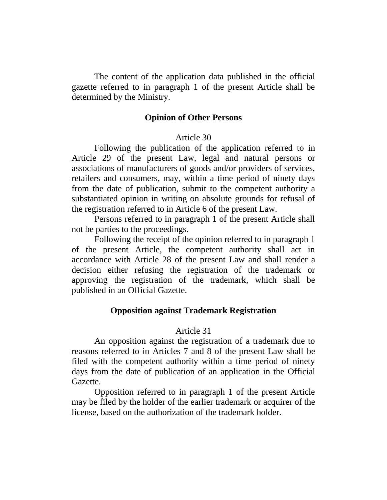The content of the application data published in the official gazette referred to in paragraph 1 of the present Article shall be determined by the Ministry.

### **Opinion of Other Persons**

### Article 30

Following the publication of the application referred to in Article 29 of the present Law, legal and natural persons or associations of manufacturers of goods and/or providers of services, retailers and consumers, may, within a time period of ninety days from the date of publication, submit to the competent authority a substantiated opinion in writing on absolute grounds for refusal of the registration referred to in Article 6 of the present Law.

Persons referred to in paragraph 1 of the present Article shall not be parties to the proceedings.

Following the receipt of the opinion referred to in paragraph 1 of the present Article, the competent authority shall act in accordance with Article 28 of the present Law and shall render a decision either refusing the registration of the trademark or approving the registration of the trademark, which shall be published in an Official Gazette.

### **Opposition against Trademark Registration**

## Article 31

An opposition against the registration of a trademark due to reasons referred to in Articles 7 and 8 of the present Law shall be filed with the competent authority within a time period of ninety days from the date of publication of an application in the Official Gazette.

Opposition referred to in paragraph 1 of the present Article may be filed by the holder of the earlier trademark or acquirer of the license, based on the authorization of the trademark holder.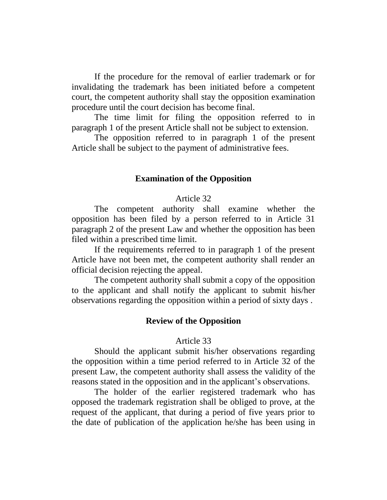If the procedure for the removal of earlier trademark or for invalidating the trademark has been initiated before a competent court, the competent authority shall stay the opposition examination procedure until the court decision has become final.

The time limit for filing the opposition referred to in paragraph 1 of the present Article shall not be subject to extension.

The opposition referred to in paragraph 1 of the present Article shall be subject to the payment of administrative fees.

### **Examination of the Opposition**

#### Article 32

The competent authority shall examine whether the opposition has been filed by a person referred to in Article 31 paragraph 2 of the present Law and whether the opposition has been filed within a prescribed time limit.

If the requirements referred to in paragraph 1 of the present Article have not been met, the competent authority shall render an official decision rejecting the appeal.

The competent authority shall submit a copy of the opposition to the applicant and shall notify the applicant to submit his/her observations regarding the opposition within a period of sixty days .

## **Review of the Opposition**

#### Article 33

Should the applicant submit his/her observations regarding the opposition within a time period referred to in Article 32 of the present Law, the competent authority shall assess the validity of the reasons stated in the opposition and in the applicant's observations.

The holder of the earlier registered trademark who has opposed the trademark registration shall be obliged to prove, at the request of the applicant, that during a period of five years prior to the date of publication of the application he/she has been using in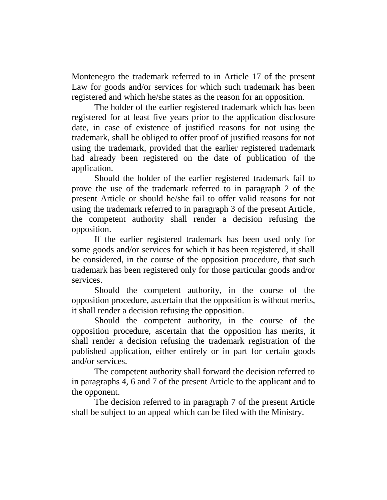Montenegro the trademark referred to in Article 17 of the present Law for goods and/or services for which such trademark has been registered and which he/she states as the reason for an opposition.

The holder of the earlier registered trademark which has been registered for at least five years prior to the application disclosure date, in case of existence of justified reasons for not using the trademark, shall be obliged to offer proof of justified reasons for not using the trademark, provided that the earlier registered trademark had already been registered on the date of publication of the application.

Should the holder of the earlier registered trademark fail to prove the use of the trademark referred to in paragraph 2 of the present Article or should he/she fail to offer valid reasons for not using the trademark referred to in paragraph 3 of the present Article, the competent authority shall render a decision refusing the opposition.

If the earlier registered trademark has been used only for some goods and/or services for which it has been registered, it shall be considered, in the course of the opposition procedure, that such trademark has been registered only for those particular goods and/or services.

Should the competent authority, in the course of the opposition procedure, ascertain that the opposition is without merits, it shall render a decision refusing the opposition.

Should the competent authority, in the course of the opposition procedure, ascertain that the opposition has merits, it shall render a decision refusing the trademark registration of the published application, either entirely or in part for certain goods and/or services.

The competent authority shall forward the decision referred to in paragraphs 4, 6 and 7 of the present Article to the applicant and to the opponent.

The decision referred to in paragraph 7 of the present Article shall be subject to an appeal which can be filed with the Ministry.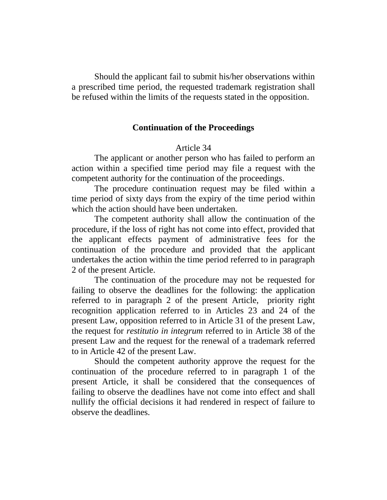Should the applicant fail to submit his/her observations within a prescribed time period, the requested trademark registration shall be refused within the limits of the requests stated in the opposition.

## **Continuation of the Proceedings**

#### Article 34

The applicant or another person who has failed to perform an action within a specified time period may file a request with the competent authority for the continuation of the proceedings.

The procedure continuation request may be filed within a time period of sixty days from the expiry of the time period within which the action should have been undertaken.

The competent authority shall allow the continuation of the procedure, if the loss of right has not come into effect, provided that the applicant effects payment of administrative fees for the continuation of the procedure and provided that the applicant undertakes the action within the time period referred to in paragraph 2 of the present Article.

The continuation of the procedure may not be requested for failing to observe the deadlines for the following: the application referred to in paragraph 2 of the present Article, priority right recognition application referred to in Articles 23 and 24 of the present Law, opposition referred to in Article 31 of the present Law, the request for *restitutio in integrum* referred to in Article 38 of the present Law and the request for the renewal of a trademark referred to in Article 42 of the present Law.

Should the competent authority approve the request for the continuation of the procedure referred to in paragraph 1 of the present Article, it shall be considered that the consequences of failing to observe the deadlines have not come into effect and shall nullify the official decisions it had rendered in respect of failure to observe the deadlines.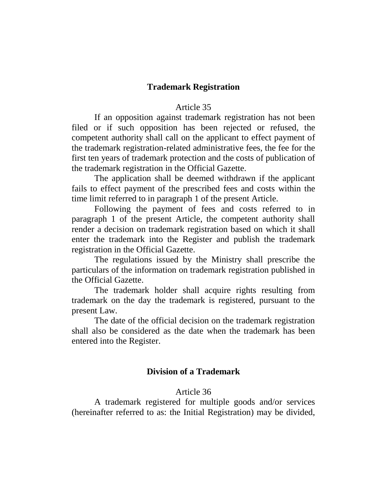## **Trademark Registration**

### Article 35

If an opposition against trademark registration has not been filed or if such opposition has been rejected or refused, the competent authority shall call on the applicant to effect payment of the trademark registration-related administrative fees, the fee for the first ten years of trademark protection and the costs of publication of the trademark registration in the Official Gazette.

The application shall be deemed withdrawn if the applicant fails to effect payment of the prescribed fees and costs within the time limit referred to in paragraph 1 of the present Article.

Following the payment of fees and costs referred to in paragraph 1 of the present Article, the competent authority shall render a decision on trademark registration based on which it shall enter the trademark into the Register and publish the trademark registration in the Official Gazette.

The regulations issued by the Ministry shall prescribe the particulars of the information on trademark registration published in the Official Gazette.

The trademark holder shall acquire rights resulting from trademark on the day the trademark is registered, pursuant to the present Law.

The date of the official decision on the trademark registration shall also be considered as the date when the trademark has been entered into the Register.

## **Division of a Trademark**

#### Article 36

A trademark registered for multiple goods and/or services (hereinafter referred to as: the Initial Registration) may be divided,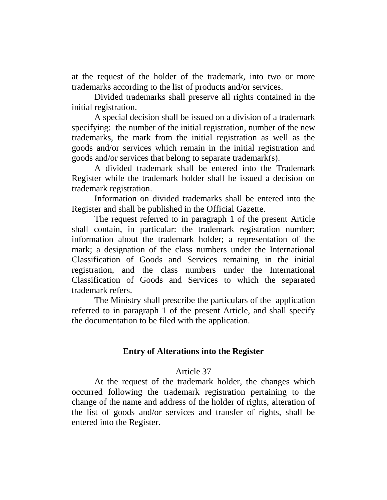at the request of the holder of the trademark, into two or more trademarks according to the list of products and/or services.

Divided trademarks shall preserve all rights contained in the initial registration.

A special decision shall be issued on a division of a trademark specifying: the number of the initial registration, number of the new trademarks, the mark from the initial registration as well as the goods and/or services which remain in the initial registration and goods and/or services that belong to separate trademark(s).

A divided trademark shall be entered into the Trademark Register while the trademark holder shall be issued a decision on trademark registration.

Information on divided trademarks shall be entered into the Register and shall be published in the Official Gazette.

The request referred to in paragraph 1 of the present Article shall contain, in particular: the trademark registration number; information about the trademark holder; a representation of the mark; a designation of the class numbers under the International Classification of Goods and Services remaining in the initial registration, and the class numbers under the International Classification of Goods and Services to which the separated trademark refers.

The Ministry shall prescribe the particulars of the application referred to in paragraph 1 of the present Article, and shall specify the documentation to be filed with the application.

## **Entry of Alterations into the Register**

## Article 37

At the request of the trademark holder, the changes which occurred following the trademark registration pertaining to the change of the name and address of the holder of rights, alteration of the list of goods and/or services and transfer of rights, shall be entered into the Register.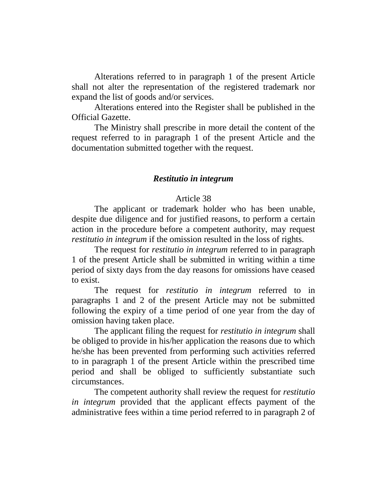Alterations referred to in paragraph 1 of the present Article shall not alter the representation of the registered trademark nor expand the list of goods and/or services.

Alterations entered into the Register shall be published in the Official Gazette.

The Ministry shall prescribe in more detail the content of the request referred to in paragraph 1 of the present Article and the documentation submitted together with the request.

## *Restitutio in integrum*

### Article 38

The applicant or trademark holder who has been unable, despite due diligence and for justified reasons, to perform a certain action in the procedure before a competent authority, may request *restitutio in integrum* if the omission resulted in the loss of rights.

The request for *restitutio in integrum* referred to in paragraph 1 of the present Article shall be submitted in writing within a time period of sixty days from the day reasons for omissions have ceased to exist.

The request for *restitutio in integrum* referred to in paragraphs 1 and 2 of the present Article may not be submitted following the expiry of a time period of one year from the day of omission having taken place.

The applicant filing the request for *restitutio in integrum* shall be obliged to provide in his/her application the reasons due to which he/she has been prevented from performing such activities referred to in paragraph 1 of the present Article within the prescribed time period and shall be obliged to sufficiently substantiate such circumstances.

The competent authority shall review the request for *restitutio in integrum* provided that the applicant effects payment of the administrative fees within a time period referred to in paragraph 2 of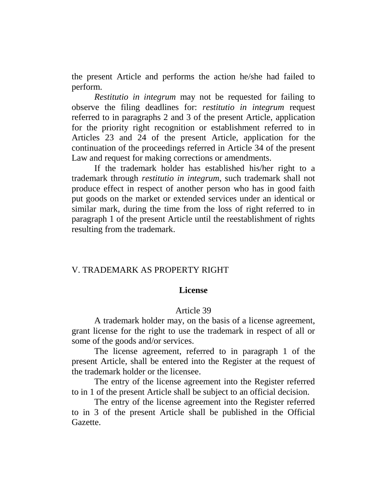the present Article and performs the action he/she had failed to perform.

*Restitutio in integrum* may not be requested for failing to observe the filing deadlines for: *restitutio in integrum* request referred to in paragraphs 2 and 3 of the present Article, application for the priority right recognition or establishment referred to in Articles 23 and 24 of the present Article, application for the continuation of the proceedings referred in Article 34 of the present Law and request for making corrections or amendments.

If the trademark holder has established his/her right to a trademark through *restitutio in integrum*, such trademark shall not produce effect in respect of another person who has in good faith put goods on the market or extended services under an identical or similar mark, during the time from the loss of right referred to in paragraph 1 of the present Article until the reestablishment of rights resulting from the trademark.

### V. TRADEMARK AS PROPERTY RIGHT

#### **License**

#### Article 39

A trademark holder may, on the basis of a license agreement, grant license for the right to use the trademark in respect of all or some of the goods and/or services.

The license agreement, referred to in paragraph 1 of the present Article, shall be entered into the Register at the request of the trademark holder or the licensee.

The entry of the license agreement into the Register referred to in 1 of the present Article shall be subject to an official decision.

The entry of the license agreement into the Register referred to in 3 of the present Article shall be published in the Official Gazette.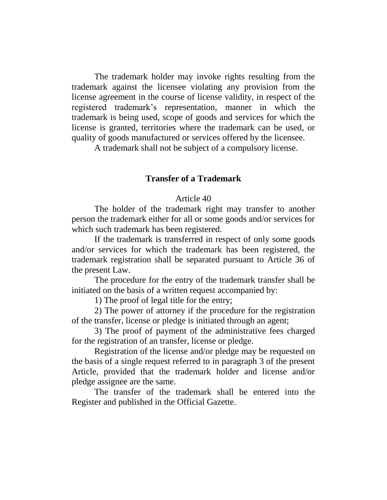The trademark holder may invoke rights resulting from the trademark against the licensee violating any provision from the license agreement in the course of license validity, in respect of the registered trademark's representation, manner in which the trademark is being used, scope of goods and services for which the license is granted, territories where the trademark can be used, or quality of goods manufactured or services offered by the licensee.

A trademark shall not be subject of a compulsory license.

## **Transfer of a Trademark**

## Article 40

The holder of the trademark right may transfer to another person the trademark either for all or some goods and/or services for which such trademark has been registered.

If the trademark is transferred in respect of only some goods and/or services for which the trademark has been registered, the trademark registration shall be separated pursuant to Article 36 of the present Law.

The procedure for the entry of the trademark transfer shall be initiated on the basis of a written request accompanied by:

1) The proof of legal title for the entry;

2) The power of attorney if the procedure for the registration of the transfer, license or pledge is initiated through an agent;

3) The proof of payment of the administrative fees charged for the registration of an transfer, license or pledge.

Registration of the license and/or pledge may be requested on the basis of a single request referred to in paragraph 3 of the present Article, provided that the trademark holder and license and/or pledge assignee are the same.

The transfer of the trademark shall be entered into the Register and published in the Official Gazette.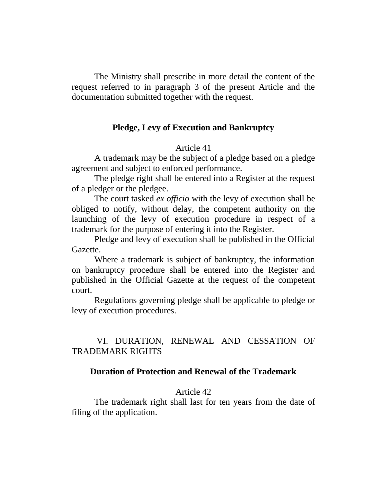The Ministry shall prescribe in more detail the content of the request referred to in paragraph 3 of the present Article and the documentation submitted together with the request.

## **Pledge, Levy of Execution and Bankruptcy**

## Article 41

A trademark may be the subject of a pledge based on a pledge agreement and subject to enforced performance.

The pledge right shall be entered into a Register at the request of a pledger or the pledgee.

The court tasked *ex officio* with the levy of execution shall be obliged to notify, without delay, the competent authority on the launching of the levy of execution procedure in respect of a trademark for the purpose of entering it into the Register.

Pledge and levy of execution shall be published in the Official Gazette.

Where a trademark is subject of bankruptcy, the information on bankruptcy procedure shall be entered into the Register and published in the Official Gazette at the request of the competent court.

Regulations governing pledge shall be applicable to pledge or levy of execution procedures.

# VI. DURATION, RENEWAL AND CESSATION OF TRADEMARK RIGHTS

## **Duration of Protection and Renewal of the Trademark**

#### Article 42

The trademark right shall last for ten years from the date of filing of the application.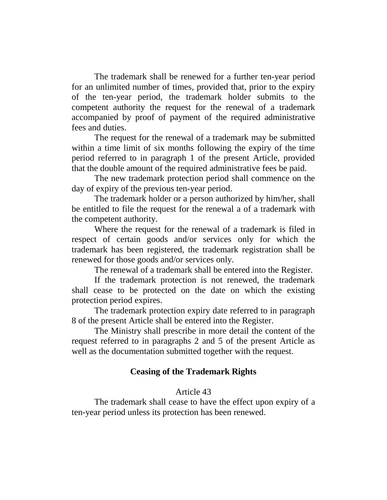The trademark shall be renewed for a further ten-year period for an unlimited number of times, provided that, prior to the expiry of the ten-year period, the trademark holder submits to the competent authority the request for the renewal of a trademark accompanied by proof of payment of the required administrative fees and duties.

The request for the renewal of a trademark may be submitted within a time limit of six months following the expiry of the time period referred to in paragraph 1 of the present Article, provided that the double amount of the required administrative fees be paid.

The new trademark protection period shall commence on the day of expiry of the previous ten-year period.

The trademark holder or a person authorized by him/her, shall be entitled to file the request for the renewal a of a trademark with the competent authority.

Where the request for the renewal of a trademark is filed in respect of certain goods and/or services only for which the trademark has been registered, the trademark registration shall be renewed for those goods and/or services only.

The renewal of a trademark shall be entered into the Register.

If the trademark protection is not renewed, the trademark shall cease to be protected on the date on which the existing protection period expires.

The trademark protection expiry date referred to in paragraph 8 of the present Article shall be entered into the Register.

The Ministry shall prescribe in more detail the content of the request referred to in paragraphs 2 and 5 of the present Article as well as the documentation submitted together with the request.

# **Ceasing of the Trademark Rights**

## Article 43

The trademark shall cease to have the effect upon expiry of a ten-year period unless its protection has been renewed.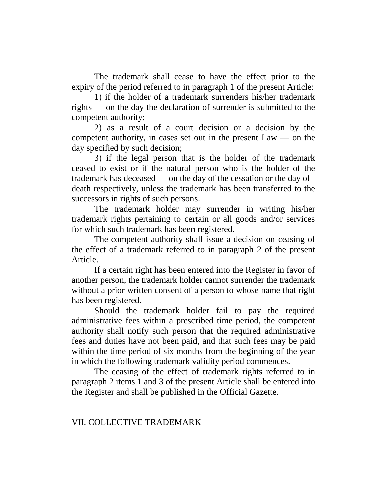The trademark shall cease to have the effect prior to the expiry of the period referred to in paragraph 1 of the present Article:

1) if the holder of a trademark surrenders his/her trademark rights — on the day the declaration of surrender is submitted to the competent authority;

2) as a result of a court decision or a decision by the competent authority, in cases set out in the present Law — on the day specified by such decision;

3) if the legal person that is the holder of the trademark ceased to exist or if the natural person who is the holder of the trademark has deceased — on the day of the cessation or the day of death respectively, unless the trademark has been transferred to the successors in rights of such persons.

The trademark holder may surrender in writing his/her trademark rights pertaining to certain or all goods and/or services for which such trademark has been registered.

The competent authority shall issue a decision on ceasing of the effect of a trademark referred to in paragraph 2 of the present Article.

If a certain right has been entered into the Register in favor of another person, the trademark holder cannot surrender the trademark without a prior written consent of a person to whose name that right has been registered.

Should the trademark holder fail to pay the required administrative fees within a prescribed time period, the competent authority shall notify such person that the required administrative fees and duties have not been paid, and that such fees may be paid within the time period of six months from the beginning of the year in which the following trademark validity period commences.

The ceasing of the effect of trademark rights referred to in paragraph 2 items 1 and 3 of the present Article shall be entered into the Register and shall be published in the Official Gazette.

## VII. COLLECTIVE TRADEMARK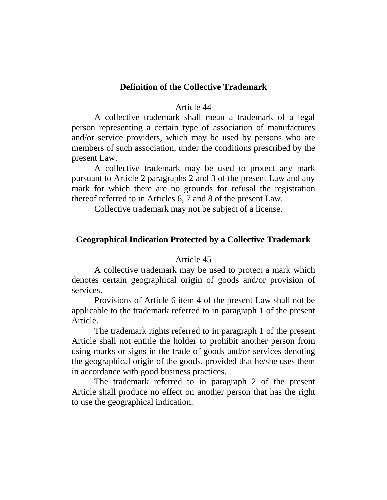## **Definition of the Collective Trademark**

#### Article 44

A collective trademark shall mean a trademark of a legal person representing a certain type of association of manufactures and/or service providers, which may be used by persons who are members of such association, under the conditions prescribed by the present Law.

A collective trademark may be used to protect any mark pursuant to Article 2 paragraphs 2 and 3 of the present Law and any mark for which there are no grounds for refusal the registration thereof referred to in Articles 6, 7 and 8 of the present Law.

Collective trademark may not be subject of a license.

## **Geographical Indication Protected by a Collective Trademark**

#### Article 45

A collective trademark may be used to protect a mark which denotes certain geographical origin of goods and/or provision of services.

Provisions of Article 6 item 4 of the present Law shall not be applicable to the trademark referred to in paragraph 1 of the present Article.

The trademark rights referred to in paragraph 1 of the present Article shall not entitle the holder to prohibit another person from using marks or signs in the trade of goods and/or services denoting the geographical origin of the goods, provided that he/she uses them in accordance with good business practices.

The trademark referred to in paragraph 2 of the present Article shall produce no effect on another person that has the right to use the geographical indication.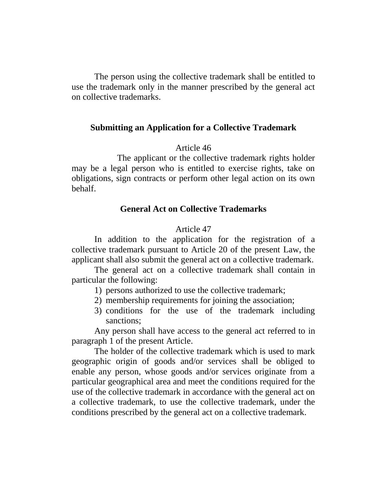The person using the collective trademark shall be entitled to use the trademark only in the manner prescribed by the general act on collective trademarks.

## **Submitting an Application for a Collective Trademark**

## Article 46

The applicant or the collective trademark rights holder may be a legal person who is entitled to exercise rights, take on obligations, sign contracts or perform other legal action on its own behalf.

## **General Act on Collective Trademarks**

## Article 47

In addition to the application for the registration of a collective trademark pursuant to Article 20 of the present Law, the applicant shall also submit the general act on a collective trademark.

The general act on a collective trademark shall contain in particular the following:

- 1) persons authorized to use the collective trademark;
- 2) membership requirements for joining the association;
- 3) conditions for the use of the trademark including sanctions;

Any person shall have access to the general act referred to in paragraph 1 of the present Article.

The holder of the collective trademark which is used to mark geographic origin of goods and/or services shall be obliged to enable any person, whose goods and/or services originate from a particular geographical area and meet the conditions required for the use of the collective trademark in accordance with the general act on a collective trademark, to use the collective trademark, under the conditions prescribed by the general act on a collective trademark.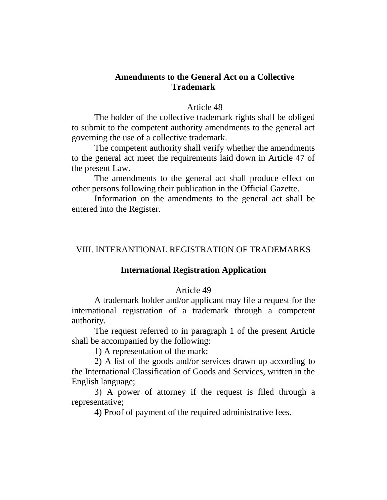## **Amendments to the General Act on a Collective Trademark**

#### Article 48

The holder of the collective trademark rights shall be obliged to submit to the competent authority amendments to the general act governing the use of a collective trademark.

The competent authority shall verify whether the amendments to the general act meet the requirements laid down in Article 47 of the present Law.

The amendments to the general act shall produce effect on other persons following their publication in the Official Gazette.

Information on the amendments to the general act shall be entered into the Register.

## VIII. INTERANTIONAL REGISTRATION OF TRADEMARKS

### **International Registration Application**

#### Article 49

A trademark holder and/or applicant may file a request for the international registration of a trademark through a competent authority.

The request referred to in paragraph 1 of the present Article shall be accompanied by the following:

1) A representation of the mark;

2) A list of the goods and/or services drawn up according to the International Classification of Goods and Services, written in the English language;

3) A power of attorney if the request is filed through a representative;

4) Proof of payment of the required administrative fees.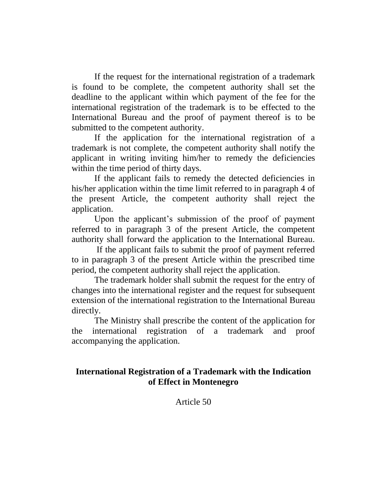If the request for the international registration of a trademark is found to be complete, the competent authority shall set the deadline to the applicant within which payment of the fee for the international registration of the trademark is to be effected to the International Bureau and the proof of payment thereof is to be submitted to the competent authority.

If the application for the international registration of a trademark is not complete, the competent authority shall notify the applicant in writing inviting him/her to remedy the deficiencies within the time period of thirty days.

If the applicant fails to remedy the detected deficiencies in his/her application within the time limit referred to in paragraph 4 of the present Article, the competent authority shall reject the application.

Upon the applicant's submission of the proof of payment referred to in paragraph 3 of the present Article, the competent authority shall forward the application to the International Bureau.

If the applicant fails to submit the proof of payment referred to in paragraph 3 of the present Article within the prescribed time period, the competent authority shall reject the application.

The trademark holder shall submit the request for the entry of changes into the international register and the request for subsequent extension of the international registration to the International Bureau directly.

The Ministry shall prescribe the content of the application for the international registration of a trademark and proof accompanying the application.

# **International Registration of a Trademark with the Indication of Effect in Montenegro**

Article 50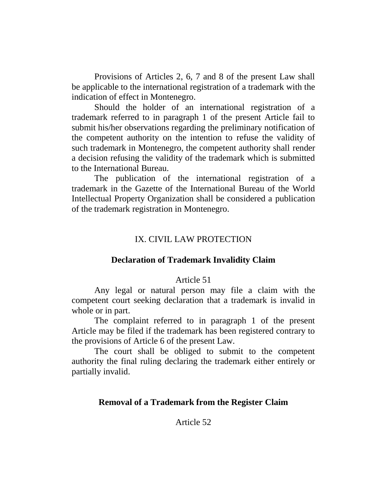Provisions of Articles 2, 6, 7 and 8 of the present Law shall be applicable to the international registration of a trademark with the indication of effect in Montenegro.

Should the holder of an international registration of a trademark referred to in paragraph 1 of the present Article fail to submit his/her observations regarding the preliminary notification of the competent authority on the intention to refuse the validity of such trademark in Montenegro, the competent authority shall render a decision refusing the validity of the trademark which is submitted to the International Bureau.

The publication of the international registration of a trademark in the Gazette of the International Bureau of the World Intellectual Property Organization shall be considered a publication of the trademark registration in Montenegro.

## IX. CIVIL LAW PROTECTION

### **Declaration of Trademark Invalidity Claim**

### Article 51

Any legal or natural person may file a claim with the competent court seeking declaration that a trademark is invalid in whole or in part.

The complaint referred to in paragraph 1 of the present Article may be filed if the trademark has been registered contrary to the provisions of Article 6 of the present Law.

The court shall be obliged to submit to the competent authority the final ruling declaring the trademark either entirely or partially invalid.

## **Removal of a Trademark from the Register Claim**

### Article 52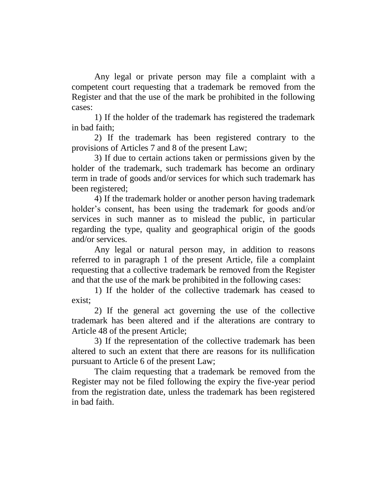Any legal or private person may file a complaint with a competent court requesting that a trademark be removed from the Register and that the use of the mark be prohibited in the following cases:

1) If the holder of the trademark has registered the trademark in bad faith;

2) If the trademark has been registered contrary to the provisions of Articles 7 and 8 of the present Law;

3) If due to certain actions taken or permissions given by the holder of the trademark, such trademark has become an ordinary term in trade of goods and/or services for which such trademark has been registered;

4) If the trademark holder or another person having trademark holder's consent, has been using the trademark for goods and/or services in such manner as to mislead the public, in particular regarding the type, quality and geographical origin of the goods and/or services.

Any legal or natural person may, in addition to reasons referred to in paragraph 1 of the present Article, file a complaint requesting that a collective trademark be removed from the Register and that the use of the mark be prohibited in the following cases:

1) If the holder of the collective trademark has ceased to exist;

2) If the general act governing the use of the collective trademark has been altered and if the alterations are contrary to Article 48 of the present Article;

3) If the representation of the collective trademark has been altered to such an extent that there are reasons for its nullification pursuant to Article 6 of the present Law;

The claim requesting that a trademark be removed from the Register may not be filed following the expiry the five-year period from the registration date, unless the trademark has been registered in bad faith.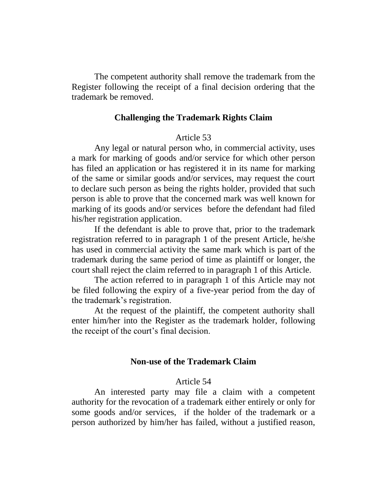The competent authority shall remove the trademark from the Register following the receipt of a final decision ordering that the trademark be removed.

#### **Challenging the Trademark Rights Claim**

### Article 53

Any legal or natural person who, in commercial activity, uses a mark for marking of goods and/or service for which other person has filed an application or has registered it in its name for marking of the same or similar goods and/or services, may request the court to declare such person as being the rights holder, provided that such person is able to prove that the concerned mark was well known for marking of its goods and/or services before the defendant had filed his/her registration application.

If the defendant is able to prove that, prior to the trademark registration referred to in paragraph 1 of the present Article, he/she has used in commercial activity the same mark which is part of the trademark during the same period of time as plaintiff or longer, the court shall reject the claim referred to in paragraph 1 of this Article.

The action referred to in paragraph 1 of this Article may not be filed following the expiry of a five-year period from the day of the trademark's registration.

At the request of the plaintiff, the competent authority shall enter him/her into the Register as the trademark holder, following the receipt of the court's final decision.

#### **Non-use of the Trademark Claim**

#### Article 54

An interested party may file a claim with a competent authority for the revocation of a trademark either entirely or only for some goods and/or services, if the holder of the trademark or a person authorized by him/her has failed, without a justified reason,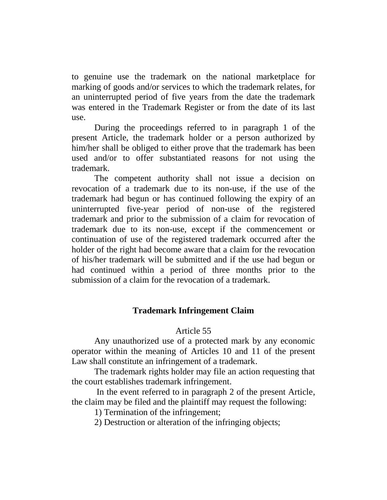to genuine use the trademark on the national marketplace for marking of goods and/or services to which the trademark relates, for an uninterrupted period of five years from the date the trademark was entered in the Trademark Register or from the date of its last use.

During the proceedings referred to in paragraph 1 of the present Article, the trademark holder or a person authorized by him/her shall be obliged to either prove that the trademark has been used and/or to offer substantiated reasons for not using the trademark.

The competent authority shall not issue a decision on revocation of a trademark due to its non-use, if the use of the trademark had begun or has continued following the expiry of an uninterrupted five-year period of non-use of the registered trademark and prior to the submission of a claim for revocation of trademark due to its non-use, except if the commencement or continuation of use of the registered trademark occurred after the holder of the right had become aware that a claim for the revocation of his/her trademark will be submitted and if the use had begun or had continued within a period of three months prior to the submission of a claim for the revocation of a trademark.

# **Trademark Infringement Claim**

## Article 55

Any unauthorized use of a protected mark by any economic operator within the meaning of Articles 10 and 11 of the present Law shall constitute an infringement of a trademark.

The trademark rights holder may file an action requesting that the court establishes trademark infringement.

In the event referred to in paragraph 2 of the present Article, the claim may be filed and the plaintiff may request the following:

1) Termination of the infringement;

2) Destruction or alteration of the infringing objects;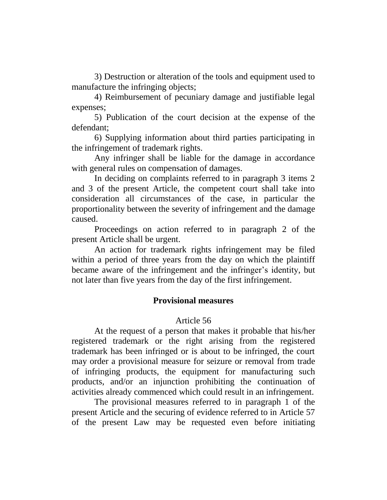3) Destruction or alteration of the tools and equipment used to manufacture the infringing objects;

4) Reimbursement of pecuniary damage and justifiable legal expenses;

5) Publication of the court decision at the expense of the defendant;

6) Supplying information about third parties participating in the infringement of trademark rights.

Any infringer shall be liable for the damage in accordance with general rules on compensation of damages.

In deciding on complaints referred to in paragraph 3 items 2 and 3 of the present Article, the competent court shall take into consideration all circumstances of the case, in particular the proportionality between the severity of infringement and the damage caused.

Proceedings on action referred to in paragraph 2 of the present Article shall be urgent.

An action for trademark rights infringement may be filed within a period of three years from the day on which the plaintiff became aware of the infringement and the infringer's identity, but not later than five years from the day of the first infringement.

## **Provisional measures**

### Article 56

At the request of a person that makes it probable that his/her registered trademark or the right arising from the registered trademark has been infringed or is about to be infringed, the court may order a provisional measure for seizure or removal from trade of infringing products, the equipment for manufacturing such products, and/or an injunction prohibiting the continuation of activities already commenced which could result in an infringement.

The provisional measures referred to in paragraph 1 of the present Article and the securing of evidence referred to in Article 57 of the present Law may be requested even before initiating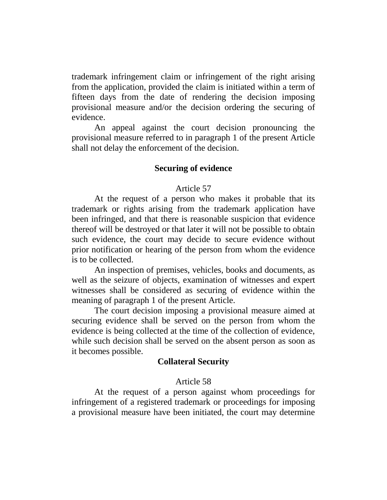trademark infringement claim or infringement of the right arising from the application, provided the claim is initiated within a term of fifteen days from the date of rendering the decision imposing provisional measure and/or the decision ordering the securing of evidence.

An appeal against the court decision pronouncing the provisional measure referred to in paragraph 1 of the present Article shall not delay the enforcement of the decision.

### **Securing of evidence**

## Article 57

At the request of a person who makes it probable that its trademark or rights arising from the trademark application have been infringed, and that there is reasonable suspicion that evidence thereof will be destroyed or that later it will not be possible to obtain such evidence, the court may decide to secure evidence without prior notification or hearing of the person from whom the evidence is to be collected.

An inspection of premises, vehicles, books and documents, as well as the seizure of objects, examination of witnesses and expert witnesses shall be considered as securing of evidence within the meaning of paragraph 1 of the present Article.

The court decision imposing a provisional measure aimed at securing evidence shall be served on the person from whom the evidence is being collected at the time of the collection of evidence, while such decision shall be served on the absent person as soon as it becomes possible.

### **Collateral Security**

### Article 58

At the request of a person against whom proceedings for infringement of a registered trademark or proceedings for imposing a provisional measure have been initiated, the court may determine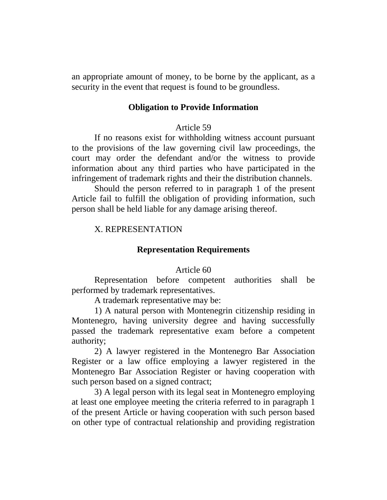an appropriate amount of money, to be borne by the applicant, as a security in the event that request is found to be groundless.

### **Obligation to Provide Information**

## Article 59

If no reasons exist for withholding witness account pursuant to the provisions of the law governing civil law proceedings, the court may order the defendant and/or the witness to provide information about any third parties who have participated in the infringement of trademark rights and their the distribution channels.

Should the person referred to in paragraph 1 of the present Article fail to fulfill the obligation of providing information, such person shall be held liable for any damage arising thereof.

## X. REPRESENTATION

#### **Representation Requirements**

### Article 60

Representation before competent authorities shall be performed by trademark representatives.

A trademark representative may be:

1) A natural person with Montenegrin citizenship residing in Montenegro, having university degree and having successfully passed the trademark representative exam before a competent authority;

2) A lawyer registered in the Montenegro Bar Association Register or a law office employing a lawyer registered in the Montenegro Bar Association Register or having cooperation with such person based on a signed contract;

3) A legal person with its legal seat in Montenegro employing at least one employee meeting the criteria referred to in paragraph 1 of the present Article or having cooperation with such person based on other type of contractual relationship and providing registration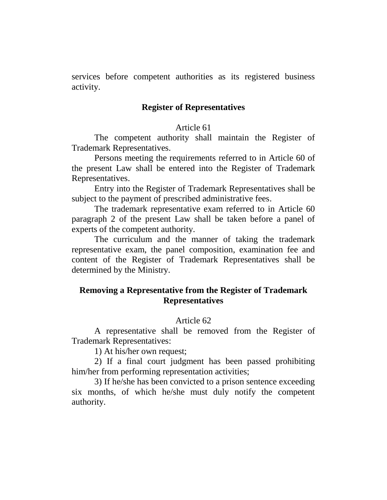services before competent authorities as its registered business activity.

### **Register of Representatives**

# Article 61

The competent authority shall maintain the Register of Trademark Representatives.

Persons meeting the requirements referred to in Article 60 of the present Law shall be entered into the Register of Trademark Representatives.

Entry into the Register of Trademark Representatives shall be subject to the payment of prescribed administrative fees.

The trademark representative exam referred to in Article 60 paragraph 2 of the present Law shall be taken before a panel of experts of the competent authority.

The curriculum and the manner of taking the trademark representative exam, the panel composition, examination fee and content of the Register of Trademark Representatives shall be determined by the Ministry.

## **Removing a Representative from the Register of Trademark Representatives**

## Article 62

A representative shall be removed from the Register of Trademark Representatives:

1) At his/her own request;

2) If a final court judgment has been passed prohibiting him/her from performing representation activities;

3) If he/she has been convicted to a prison sentence exceeding six months, of which he/she must duly notify the competent authority.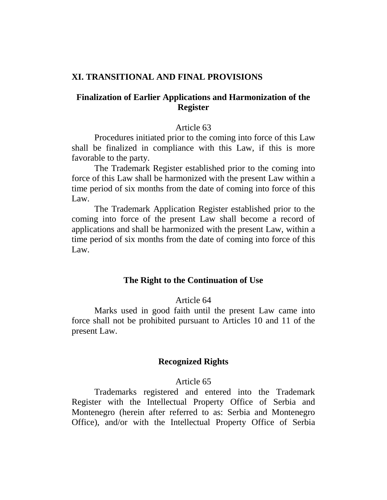## **XI. TRANSITIONAL AND FINAL PROVISIONS**

## **Finalization of Earlier Applications and Harmonization of the Register**

### Article 63

Procedures initiated prior to the coming into force of this Law shall be finalized in compliance with this Law, if this is more favorable to the party.

The Trademark Register established prior to the coming into force of this Law shall be harmonized with the present Law within a time period of six months from the date of coming into force of this Law.

The Trademark Application Register established prior to the coming into force of the present Law shall become a record of applications and shall be harmonized with the present Law, within a time period of six months from the date of coming into force of this Law.

### **The Right to the Continuation of Use**

## Article 64

Marks used in good faith until the present Law came into force shall not be prohibited pursuant to Articles 10 and 11 of the present Law.

### **Recognized Rights**

#### Article 65

Trademarks registered and entered into the Trademark Register with the Intellectual Property Office of Serbia and Montenegro (herein after referred to as: Serbia and Montenegro Office), and/or with the Intellectual Property Office of Serbia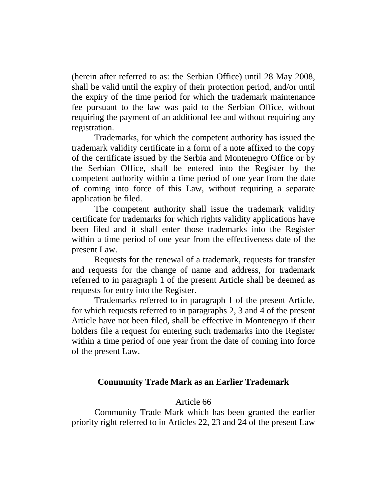(herein after referred to as: the Serbian Office) until 28 May 2008, shall be valid until the expiry of their protection period, and/or until the expiry of the time period for which the trademark maintenance fee pursuant to the law was paid to the Serbian Office, without requiring the payment of an additional fee and without requiring any registration.

Trademarks, for which the competent authority has issued the trademark validity certificate in a form of a note affixed to the copy of the certificate issued by the Serbia and Montenegro Office or by the Serbian Office, shall be entered into the Register by the competent authority within a time period of one year from the date of coming into force of this Law, without requiring a separate application be filed.

The competent authority shall issue the trademark validity certificate for trademarks for which rights validity applications have been filed and it shall enter those trademarks into the Register within a time period of one year from the effectiveness date of the present Law.

Requests for the renewal of a trademark, requests for transfer and requests for the change of name and address, for trademark referred to in paragraph 1 of the present Article shall be deemed as requests for entry into the Register.

Trademarks referred to in paragraph 1 of the present Article, for which requests referred to in paragraphs 2, 3 and 4 of the present Article have not been filed, shall be effective in Montenegro if their holders file a request for entering such trademarks into the Register within a time period of one year from the date of coming into force of the present Law.

## **Community Trade Mark as an Earlier Trademark**

### Article 66

Community Trade Mark which has been granted the earlier priority right referred to in Articles 22, 23 and 24 of the present Law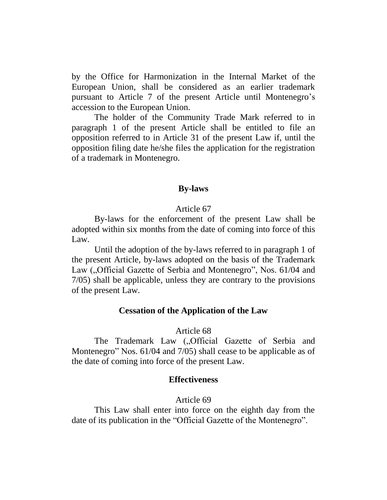by the Office for Harmonization in the Internal Market of the European Union, shall be considered as an earlier trademark pursuant to Article 7 of the present Article until Montenegro's accession to the European Union.

The holder of the Community Trade Mark referred to in paragraph 1 of the present Article shall be entitled to file an opposition referred to in Article 31 of the present Law if, until the opposition filing date he/she files the application for the registration of a trademark in Montenegro.

# **By-laws**

## Article 67

By-laws for the enforcement of the present Law shall be adopted within six months from the date of coming into force of this Law.

Until the adoption of the by-laws referred to in paragraph 1 of the present Article, by-laws adopted on the basis of the Trademark Law ("Official Gazette of Serbia and Montenegro", Nos. 61/04 and 7/05) shall be applicable, unless they are contrary to the provisions of the present Law.

## **Cessation of the Application of the Law**

## Article 68

The Trademark Law (...Official Gazette of Serbia and Montenegro" Nos. 61/04 and 7/05) shall cease to be applicable as of the date of coming into force of the present Law.

## **Effectiveness**

### Article 69

This Law shall enter into force on the eighth day from the date of its publication in the "Official Gazette of the Montenegro".